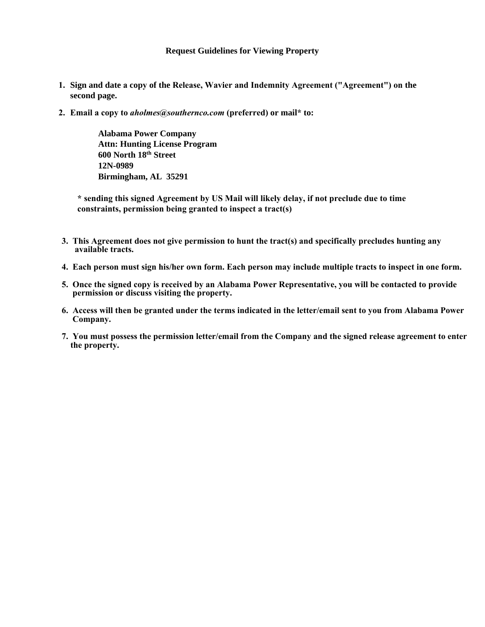- **1. Sign and date a copy of the Release, Wavier and Indemnity Agreement ("Agreement") on the second page.**
- **2. Email a copy to** *aholmes@southernco.com* **(preferred) or mail\* to:**

**Alabama Power Company Attn: Hunting License Program 600 North 18th Street 12N-0989 Birmingham, AL 35291** 

**\* sending this signed Agreement by US Mail will likely delay, if not preclude due to time constraints, permission being granted to inspect a tract(s)**

- **3. This Agreement does not give permission to hunt the tract(s) and specifically precludes hunting any available tracts.**
- **4. Each person must sign his/her own form. Each person may include multiple tracts to inspect in one form.**
- **5. Once the signed copy is received by an Alabama Power Representative, you will be contacted to provide permission or discuss visiting the property.**
- **6. Access will then be granted under the terms indicated in the letter/email sent to you from Alabama Power Company.**
- **7. You must possess the permission letter/email from the Company and the signed release agreement to enter the property.**